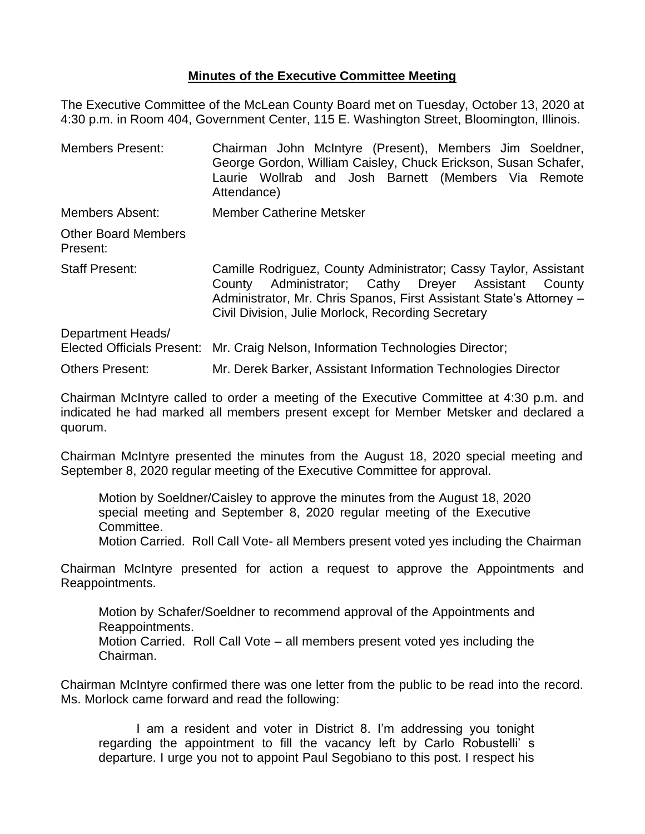## **Minutes of the Executive Committee Meeting**

The Executive Committee of the McLean County Board met on Tuesday, October 13, 2020 at 4:30 p.m. in Room 404, Government Center, 115 E. Washington Street, Bloomington, Illinois.

| <b>Members Present:</b>                                | Chairman John McIntyre (Present), Members Jim Soeldner,<br>George Gordon, William Caisley, Chuck Erickson, Susan Schafer,<br>Laurie Wollrab and Josh Barnett (Members Via Remote<br>Attendance)                                                         |  |  |
|--------------------------------------------------------|---------------------------------------------------------------------------------------------------------------------------------------------------------------------------------------------------------------------------------------------------------|--|--|
| Members Absent:                                        | <b>Member Catherine Metsker</b>                                                                                                                                                                                                                         |  |  |
| <b>Other Board Members</b><br>Present:                 |                                                                                                                                                                                                                                                         |  |  |
| <b>Staff Present:</b>                                  | Camille Rodriguez, County Administrator; Cassy Taylor, Assistant<br>Administrator; Cathy Dreyer Assistant County<br>County<br>Administrator, Mr. Chris Spanos, First Assistant State's Attorney -<br>Civil Division, Julie Morlock, Recording Secretary |  |  |
| Department Heads/<br><b>Elected Officials Present:</b> | Mr. Craig Nelson, Information Technologies Director;                                                                                                                                                                                                    |  |  |
| Others Present:                                        | Mr. Derek Barker, Assistant Information Technologies Director                                                                                                                                                                                           |  |  |

Chairman McIntyre called to order a meeting of the Executive Committee at 4:30 p.m. and indicated he had marked all members present except for Member Metsker and declared a quorum.

Chairman McIntyre presented the minutes from the August 18, 2020 special meeting and September 8, 2020 regular meeting of the Executive Committee for approval.

Motion by Soeldner/Caisley to approve the minutes from the August 18, 2020 special meeting and September 8, 2020 regular meeting of the Executive Committee.

Motion Carried. Roll Call Vote- all Members present voted yes including the Chairman

Chairman McIntyre presented for action a request to approve the Appointments and Reappointments.

Motion by Schafer/Soeldner to recommend approval of the Appointments and Reappointments.

Motion Carried. Roll Call Vote – all members present voted yes including the Chairman.

Chairman McIntyre confirmed there was one letter from the public to be read into the record. Ms. Morlock came forward and read the following:

I am a resident and voter in District 8. I'm addressing you tonight regarding the appointment to fill the vacancy left by Carlo Robustelli' s departure. I urge you not to appoint Paul Segobiano to this post. I respect his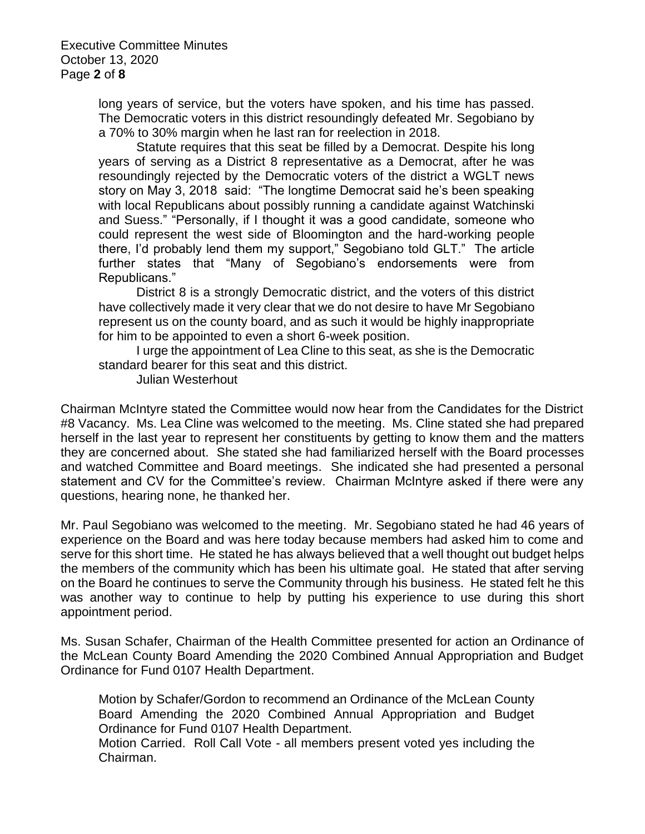long years of service, but the voters have spoken, and his time has passed. The Democratic voters in this district resoundingly defeated Mr. Segobiano by a 70% to 30% margin when he last ran for reelection in 2018.

Statute requires that this seat be filled by a Democrat. Despite his long years of serving as a District 8 representative as a Democrat, after he was resoundingly rejected by the Democratic voters of the district a WGLT news story on May 3, 2018 said: "The longtime Democrat said he's been speaking with local Republicans about possibly running a candidate against Watchinski and Suess." "Personally, if I thought it was a good candidate, someone who could represent the west side of Bloomington and the hard-working people there, I'd probably lend them my support," Segobiano told GLT." The article further states that "Many of Segobiano's endorsements were from Republicans."

District 8 is a strongly Democratic district, and the voters of this district have collectively made it very clear that we do not desire to have Mr Segobiano represent us on the county board, and as such it would be highly inappropriate for him to be appointed to even a short 6-week position.

I urge the appointment of Lea Cline to this seat, as she is the Democratic standard bearer for this seat and this district.

Julian Westerhout

Chairman McIntyre stated the Committee would now hear from the Candidates for the District #8 Vacancy. Ms. Lea Cline was welcomed to the meeting. Ms. Cline stated she had prepared herself in the last year to represent her constituents by getting to know them and the matters they are concerned about. She stated she had familiarized herself with the Board processes and watched Committee and Board meetings. She indicated she had presented a personal statement and CV for the Committee's review. Chairman McIntyre asked if there were any questions, hearing none, he thanked her.

Mr. Paul Segobiano was welcomed to the meeting. Mr. Segobiano stated he had 46 years of experience on the Board and was here today because members had asked him to come and serve for this short time. He stated he has always believed that a well thought out budget helps the members of the community which has been his ultimate goal. He stated that after serving on the Board he continues to serve the Community through his business. He stated felt he this was another way to continue to help by putting his experience to use during this short appointment period.

Ms. Susan Schafer, Chairman of the Health Committee presented for action an Ordinance of the McLean County Board Amending the 2020 Combined Annual Appropriation and Budget Ordinance for Fund 0107 Health Department.

Motion by Schafer/Gordon to recommend an Ordinance of the McLean County Board Amending the 2020 Combined Annual Appropriation and Budget Ordinance for Fund 0107 Health Department. Motion Carried. Roll Call Vote - all members present voted yes including the Chairman.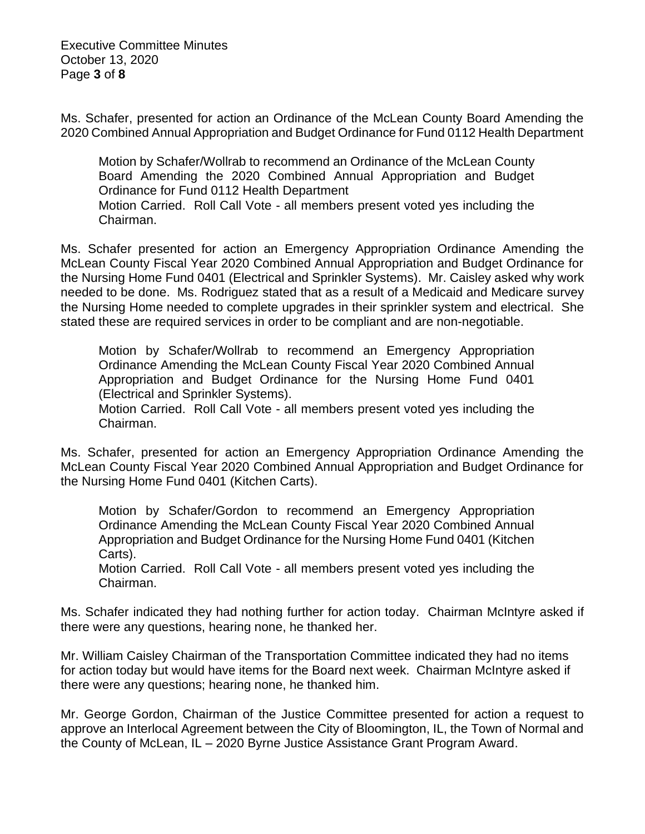Executive Committee Minutes October 13, 2020 Page **3** of **8**

Ms. Schafer, presented for action an Ordinance of the McLean County Board Amending the 2020 Combined Annual Appropriation and Budget Ordinance for Fund 0112 Health Department

Motion by Schafer/Wollrab to recommend an Ordinance of the McLean County Board Amending the 2020 Combined Annual Appropriation and Budget Ordinance for Fund 0112 Health Department Motion Carried. Roll Call Vote - all members present voted yes including the Chairman.

Ms. Schafer presented for action an Emergency Appropriation Ordinance Amending the McLean County Fiscal Year 2020 Combined Annual Appropriation and Budget Ordinance for the Nursing Home Fund 0401 (Electrical and Sprinkler Systems). Mr. Caisley asked why work needed to be done. Ms. Rodriguez stated that as a result of a Medicaid and Medicare survey the Nursing Home needed to complete upgrades in their sprinkler system and electrical. She stated these are required services in order to be compliant and are non-negotiable.

Motion by Schafer/Wollrab to recommend an Emergency Appropriation Ordinance Amending the McLean County Fiscal Year 2020 Combined Annual Appropriation and Budget Ordinance for the Nursing Home Fund 0401 (Electrical and Sprinkler Systems).

Motion Carried. Roll Call Vote - all members present voted yes including the Chairman.

Ms. Schafer, presented for action an Emergency Appropriation Ordinance Amending the McLean County Fiscal Year 2020 Combined Annual Appropriation and Budget Ordinance for the Nursing Home Fund 0401 (Kitchen Carts).

Motion by Schafer/Gordon to recommend an Emergency Appropriation Ordinance Amending the McLean County Fiscal Year 2020 Combined Annual Appropriation and Budget Ordinance for the Nursing Home Fund 0401 (Kitchen Carts).

Motion Carried. Roll Call Vote - all members present voted yes including the Chairman.

Ms. Schafer indicated they had nothing further for action today. Chairman McIntyre asked if there were any questions, hearing none, he thanked her.

Mr. William Caisley Chairman of the Transportation Committee indicated they had no items for action today but would have items for the Board next week. Chairman McIntyre asked if there were any questions; hearing none, he thanked him.

Mr. George Gordon, Chairman of the Justice Committee presented for action a request to approve an Interlocal Agreement between the City of Bloomington, IL, the Town of Normal and the County of McLean, IL – 2020 Byrne Justice Assistance Grant Program Award.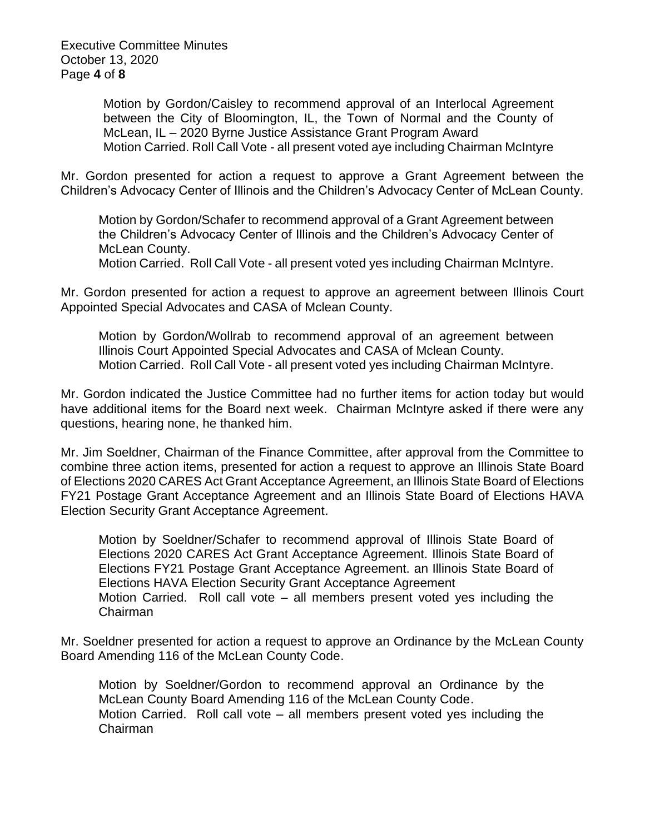Executive Committee Minutes October 13, 2020 Page **4** of **8**

> Motion by Gordon/Caisley to recommend approval of an Interlocal Agreement between the City of Bloomington, IL, the Town of Normal and the County of McLean, IL – 2020 Byrne Justice Assistance Grant Program Award Motion Carried. Roll Call Vote - all present voted aye including Chairman McIntyre

Mr. Gordon presented for action a request to approve a Grant Agreement between the Children's Advocacy Center of Illinois and the Children's Advocacy Center of McLean County.

Motion by Gordon/Schafer to recommend approval of a Grant Agreement between the Children's Advocacy Center of Illinois and the Children's Advocacy Center of McLean County.

Motion Carried. Roll Call Vote - all present voted yes including Chairman McIntyre.

Mr. Gordon presented for action a request to approve an agreement between Illinois Court Appointed Special Advocates and CASA of Mclean County.

Motion by Gordon/Wollrab to recommend approval of an agreement between Illinois Court Appointed Special Advocates and CASA of Mclean County. Motion Carried. Roll Call Vote - all present voted yes including Chairman McIntyre.

Mr. Gordon indicated the Justice Committee had no further items for action today but would have additional items for the Board next week. Chairman McIntyre asked if there were any questions, hearing none, he thanked him.

Mr. Jim Soeldner, Chairman of the Finance Committee, after approval from the Committee to combine three action items, presented for action a request to approve an Illinois State Board of Elections 2020 CARES Act Grant Acceptance Agreement, an Illinois State Board of Elections FY21 Postage Grant Acceptance Agreement and an Illinois State Board of Elections HAVA Election Security Grant Acceptance Agreement.

Motion by Soeldner/Schafer to recommend approval of Illinois State Board of Elections 2020 CARES Act Grant Acceptance Agreement. Illinois State Board of Elections FY21 Postage Grant Acceptance Agreement. an Illinois State Board of Elections HAVA Election Security Grant Acceptance Agreement Motion Carried. Roll call vote – all members present voted yes including the Chairman

Mr. Soeldner presented for action a request to approve an Ordinance by the McLean County Board Amending 116 of the McLean County Code.

Motion by Soeldner/Gordon to recommend approval an Ordinance by the McLean County Board Amending 116 of the McLean County Code. Motion Carried. Roll call vote – all members present voted yes including the Chairman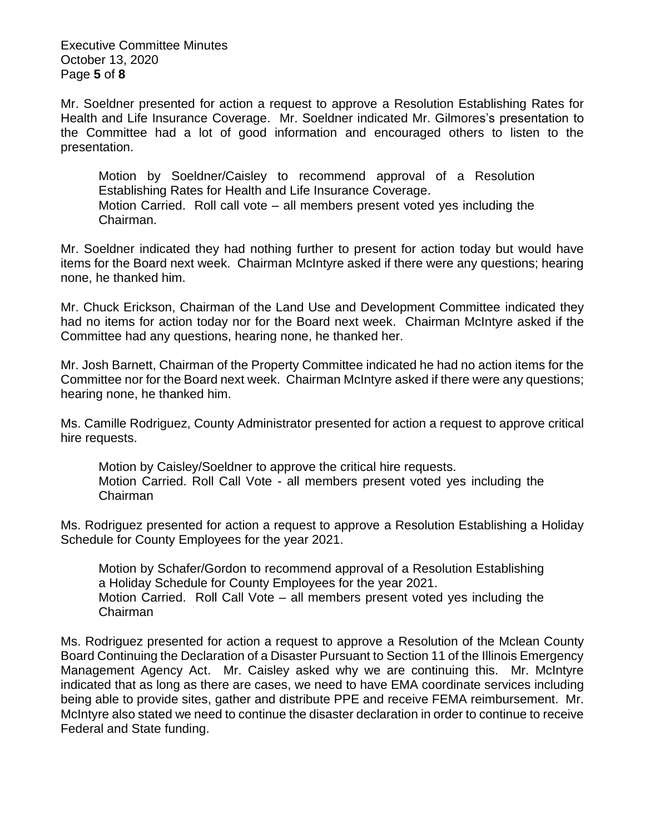Executive Committee Minutes October 13, 2020 Page **5** of **8**

Mr. Soeldner presented for action a request to approve a Resolution Establishing Rates for Health and Life Insurance Coverage. Mr. Soeldner indicated Mr. Gilmores's presentation to the Committee had a lot of good information and encouraged others to listen to the presentation.

Motion by Soeldner/Caisley to recommend approval of a Resolution Establishing Rates for Health and Life Insurance Coverage. Motion Carried. Roll call vote – all members present voted yes including the Chairman.

Mr. Soeldner indicated they had nothing further to present for action today but would have items for the Board next week. Chairman McIntyre asked if there were any questions; hearing none, he thanked him.

Mr. Chuck Erickson, Chairman of the Land Use and Development Committee indicated they had no items for action today nor for the Board next week. Chairman McIntyre asked if the Committee had any questions, hearing none, he thanked her.

Mr. Josh Barnett, Chairman of the Property Committee indicated he had no action items for the Committee nor for the Board next week. Chairman McIntyre asked if there were any questions; hearing none, he thanked him.

Ms. Camille Rodriguez, County Administrator presented for action a request to approve critical hire requests.

Motion by Caisley/Soeldner to approve the critical hire requests. Motion Carried. Roll Call Vote - all members present voted yes including the Chairman

Ms. Rodriguez presented for action a request to approve a Resolution Establishing a Holiday Schedule for County Employees for the year 2021.

Motion by Schafer/Gordon to recommend approval of a Resolution Establishing a Holiday Schedule for County Employees for the year 2021. Motion Carried. Roll Call Vote – all members present voted yes including the Chairman

Ms. Rodriguez presented for action a request to approve a Resolution of the Mclean County Board Continuing the Declaration of a Disaster Pursuant to Section 11 of the Illinois Emergency Management Agency Act. Mr. Caisley asked why we are continuing this. Mr. McIntyre indicated that as long as there are cases, we need to have EMA coordinate services including being able to provide sites, gather and distribute PPE and receive FEMA reimbursement. Mr. McIntyre also stated we need to continue the disaster declaration in order to continue to receive Federal and State funding.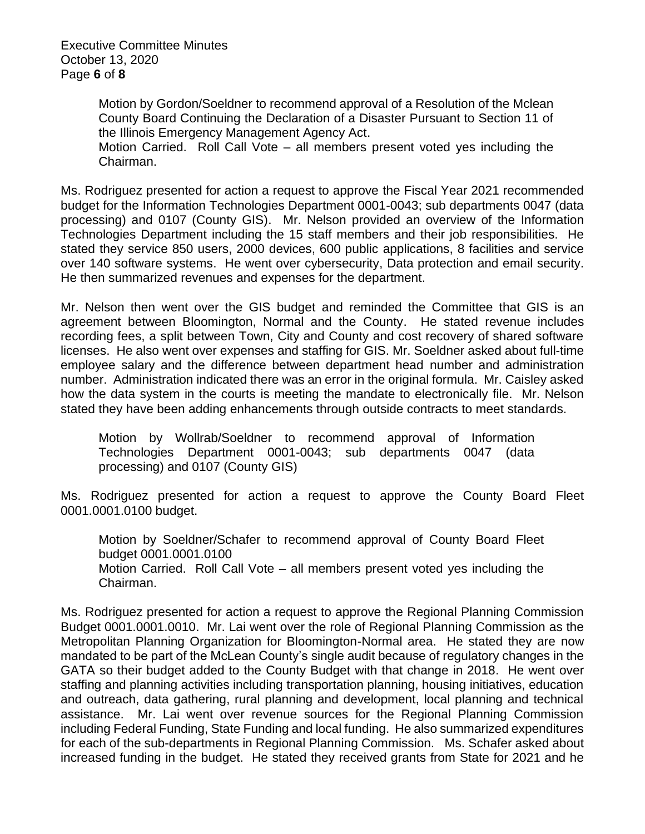Executive Committee Minutes October 13, 2020 Page **6** of **8**

> Motion by Gordon/Soeldner to recommend approval of a Resolution of the Mclean County Board Continuing the Declaration of a Disaster Pursuant to Section 11 of the Illinois Emergency Management Agency Act.

> Motion Carried. Roll Call Vote – all members present voted yes including the Chairman.

Ms. Rodriguez presented for action a request to approve the Fiscal Year 2021 recommended budget for the Information Technologies Department 0001-0043; sub departments 0047 (data processing) and 0107 (County GIS). Mr. Nelson provided an overview of the Information Technologies Department including the 15 staff members and their job responsibilities. He stated they service 850 users, 2000 devices, 600 public applications, 8 facilities and service over 140 software systems. He went over cybersecurity, Data protection and email security. He then summarized revenues and expenses for the department.

Mr. Nelson then went over the GIS budget and reminded the Committee that GIS is an agreement between Bloomington, Normal and the County. He stated revenue includes recording fees, a split between Town, City and County and cost recovery of shared software licenses. He also went over expenses and staffing for GIS. Mr. Soeldner asked about full-time employee salary and the difference between department head number and administration number. Administration indicated there was an error in the original formula. Mr. Caisley asked how the data system in the courts is meeting the mandate to electronically file. Mr. Nelson stated they have been adding enhancements through outside contracts to meet standards.

Motion by Wollrab/Soeldner to recommend approval of Information Technologies Department 0001-0043; sub departments 0047 (data processing) and 0107 (County GIS)

Ms. Rodriguez presented for action a request to approve the County Board Fleet 0001.0001.0100 budget.

Motion by Soeldner/Schafer to recommend approval of County Board Fleet budget 0001.0001.0100 Motion Carried. Roll Call Vote – all members present voted yes including the Chairman.

Ms. Rodriguez presented for action a request to approve the Regional Planning Commission Budget 0001.0001.0010. Mr. Lai went over the role of Regional Planning Commission as the Metropolitan Planning Organization for Bloomington-Normal area. He stated they are now mandated to be part of the McLean County's single audit because of regulatory changes in the GATA so their budget added to the County Budget with that change in 2018. He went over staffing and planning activities including transportation planning, housing initiatives, education and outreach, data gathering, rural planning and development, local planning and technical assistance. Mr. Lai went over revenue sources for the Regional Planning Commission including Federal Funding, State Funding and local funding. He also summarized expenditures for each of the sub-departments in Regional Planning Commission. Ms. Schafer asked about increased funding in the budget. He stated they received grants from State for 2021 and he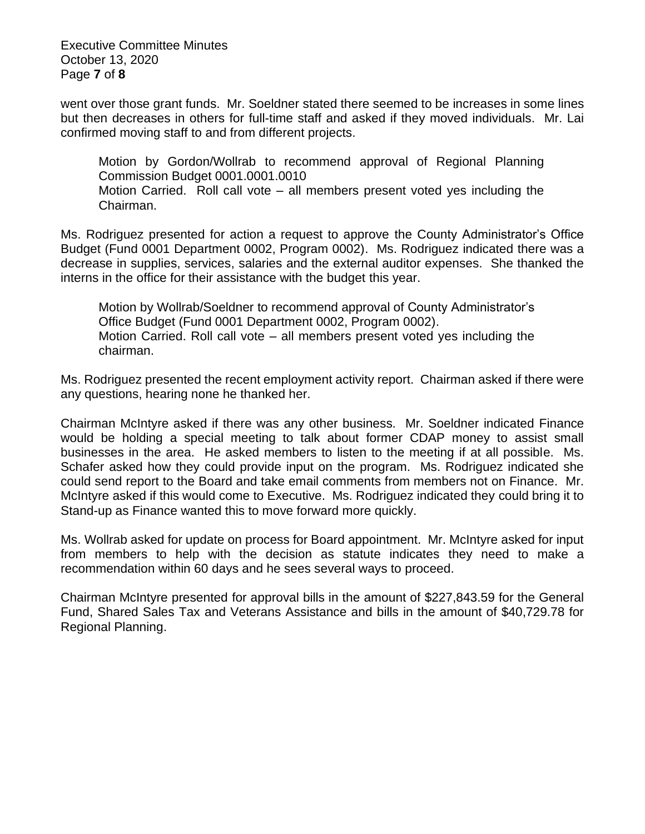Executive Committee Minutes October 13, 2020 Page **7** of **8**

went over those grant funds. Mr. Soeldner stated there seemed to be increases in some lines but then decreases in others for full-time staff and asked if they moved individuals. Mr. Lai confirmed moving staff to and from different projects.

Motion by Gordon/Wollrab to recommend approval of Regional Planning Commission Budget 0001.0001.0010 Motion Carried. Roll call vote – all members present voted yes including the Chairman.

Ms. Rodriguez presented for action a request to approve the County Administrator's Office Budget (Fund 0001 Department 0002, Program 0002). Ms. Rodriguez indicated there was a decrease in supplies, services, salaries and the external auditor expenses. She thanked the interns in the office for their assistance with the budget this year.

Motion by Wollrab/Soeldner to recommend approval of County Administrator's Office Budget (Fund 0001 Department 0002, Program 0002). Motion Carried. Roll call vote – all members present voted yes including the chairman.

Ms. Rodriguez presented the recent employment activity report. Chairman asked if there were any questions, hearing none he thanked her.

Chairman McIntyre asked if there was any other business. Mr. Soeldner indicated Finance would be holding a special meeting to talk about former CDAP money to assist small businesses in the area. He asked members to listen to the meeting if at all possible. Ms. Schafer asked how they could provide input on the program. Ms. Rodriguez indicated she could send report to the Board and take email comments from members not on Finance. Mr. McIntyre asked if this would come to Executive. Ms. Rodriguez indicated they could bring it to Stand-up as Finance wanted this to move forward more quickly.

Ms. Wollrab asked for update on process for Board appointment. Mr. McIntyre asked for input from members to help with the decision as statute indicates they need to make a recommendation within 60 days and he sees several ways to proceed.

Chairman McIntyre presented for approval bills in the amount of \$227,843.59 for the General Fund, Shared Sales Tax and Veterans Assistance and bills in the amount of \$40,729.78 for Regional Planning.